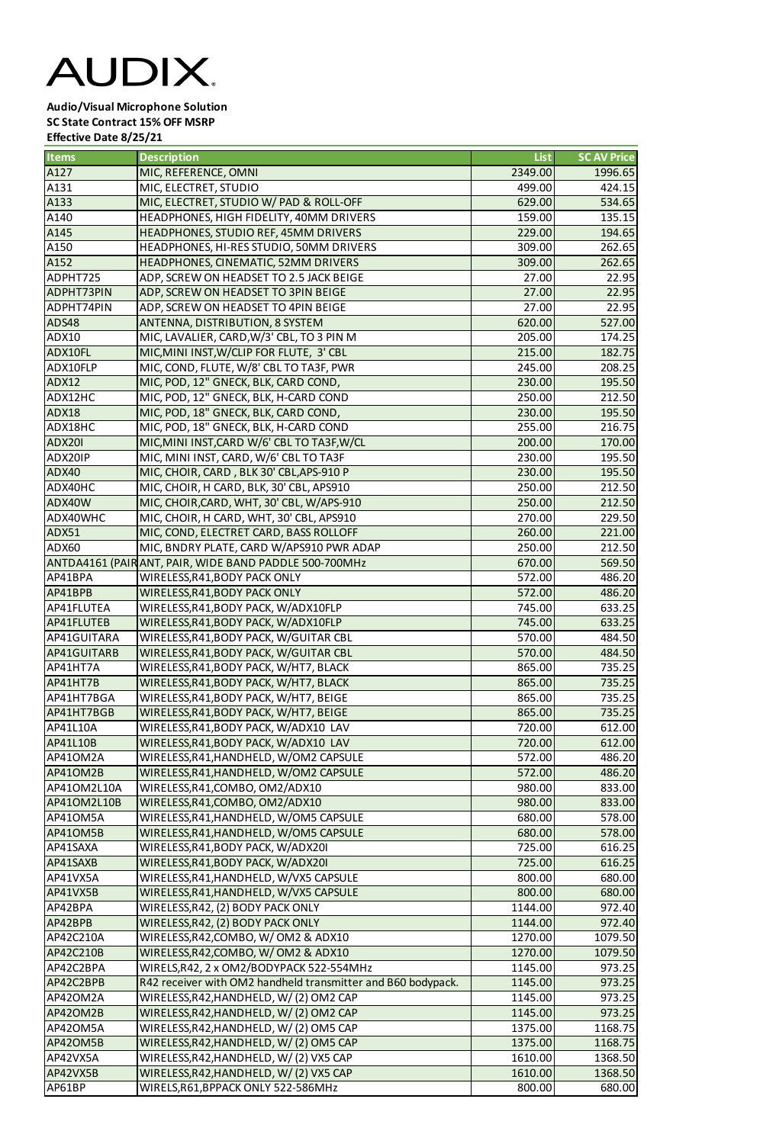## AUDIX.

**Audio/Visual Microphone Solution SC State Contract 15% OFF MSRP Effective Date 8/25/21**

| <b>Items</b>           | <b>Description</b>                                                                                       | <b>List</b>        | <b>SC AV Price</b> |
|------------------------|----------------------------------------------------------------------------------------------------------|--------------------|--------------------|
| A127                   | MIC, REFERENCE, OMNI                                                                                     | 2349.00            | 1996.65            |
| A131                   | MIC, ELECTRET, STUDIO                                                                                    | 499.00             | 424.15             |
| A133                   | MIC, ELECTRET, STUDIO W/ PAD & ROLL-OFF                                                                  | 629.00             | 534.65             |
| A140                   | HEADPHONES, HIGH FIDELITY, 40MM DRIVERS                                                                  | 159.00             | 135.15             |
| A145                   | HEADPHONES, STUDIO REF, 45MM DRIVERS                                                                     | 229.00             | 194.65             |
| A150                   | HEADPHONES, HI-RES STUDIO, 50MM DRIVERS                                                                  | 309.00             | 262.65             |
| A152                   | HEADPHONES, CINEMATIC, 52MM DRIVERS                                                                      | 309.00             | 262.65             |
| ADPHT725               | ADP, SCREW ON HEADSET TO 2.5 JACK BEIGE                                                                  | 27.00              | 22.95              |
| <b>ADPHT73PIN</b>      | ADP, SCREW ON HEADSET TO 3PIN BEIGE                                                                      | 27.00              | 22.95              |
| ADPHT74PIN             | ADP, SCREW ON HEADSET TO 4PIN BEIGE                                                                      | 27.00              | 22.95              |
| <b>ADS48</b>           | ANTENNA, DISTRIBUTION, 8 SYSTEM                                                                          | 620.00             | 527.00             |
| <b>ADX10</b>           | MIC, LAVALIER, CARD, W/3' CBL, TO 3 PIN M                                                                | 205.00             | 174.25             |
| ADX10FL                | MIC, MINI INST, W/CLIP FOR FLUTE, 3' CBL                                                                 | 215.00             | 182.75             |
| ADX10FLP               | MIC, COND, FLUTE, W/8' CBL TO TA3F, PWR                                                                  | 245.00             | 208.25             |
| <b>ADX12</b>           | MIC, POD, 12" GNECK, BLK, CARD COND,                                                                     | 230.00             | 195.50             |
| ADX12HC                | MIC, POD, 12" GNECK, BLK, H-CARD COND                                                                    | 250.00             | 212.50             |
| <b>ADX18</b>           | MIC, POD, 18" GNECK, BLK, CARD COND,                                                                     | 230.00             | 195.50             |
| ADX18HC                | MIC, POD, 18" GNECK, BLK, H-CARD COND                                                                    | 255.00             | 216.75             |
| <b>ADX201</b>          | MIC, MINI INST, CARD W/6' CBL TO TA3F, W/CL                                                              | 200.00             | 170.00             |
| ADX20IP                | MIC, MINI INST, CARD, W/6' CBL TO TA3F                                                                   | 230.00             | 195.50             |
| ADX40                  | MIC, CHOIR, CARD, BLK 30' CBL, APS-910 P                                                                 | 230.00             | 195.50             |
| ADX40HC                |                                                                                                          | 250.00             | 212.50             |
| ADX40W                 | MIC, CHOIR, H CARD, BLK, 30' CBL, APS910                                                                 | 250.00             | 212.50             |
| ADX40WHC               | MIC, CHOIR, CARD, WHT, 30' CBL, W/APS-910                                                                | 270.00             | 229.50             |
| ADX51                  | MIC, CHOIR, H CARD, WHT, 30' CBL, APS910                                                                 | 260.00             | 221.00             |
| <b>ADX60</b>           | MIC, COND, ELECTRET CARD, BASS ROLLOFF                                                                   |                    |                    |
|                        | MIC, BNDRY PLATE, CARD W/APS910 PWR ADAP                                                                 | 250.00<br>670.00   | 212.50<br>569.50   |
| AP41BPA                | ANTDA4161 (PAIR ANT, PAIR, WIDE BAND PADDLE 500-700MHz<br>WIRELESS, R41, BODY PACK ONLY                  | 572.00             | 486.20             |
| AP41BPB                |                                                                                                          | 572.00             | 486.20             |
| AP41FLUTEA             | <b>WIRELESS, R41, BODY PACK ONLY</b><br>WIRELESS, R41, BODY PACK, W/ADX10FLP                             | 745.00             | 633.25             |
| AP41FLUTEB             | WIRELESS, R41, BODY PACK, W/ADX10FLP                                                                     | 745.00             | 633.25             |
| AP41GUITARA            | WIRELESS, R41, BODY PACK, W/GUITAR CBL                                                                   | 570.00             | 484.50             |
| AP41GUITARB            | WIRELESS, R41, BODY PACK, W/GUITAR CBL                                                                   | 570.00             | 484.50             |
| AP41HT7A               | WIRELESS, R41, BODY PACK, W/HT7, BLACK                                                                   | 865.00             | 735.25             |
| AP41HT7B               | WIRELESS, R41, BODY PACK, W/HT7, BLACK                                                                   | 865.00             | 735.25             |
| AP41HT7BGA             | WIRELESS, R41, BODY PACK, W/HT7, BEIGE                                                                   | 865.00             | 735.25             |
| AP41HT7BGB             | WIRELESS, R41, BODY PACK, W/HT7, BEIGE                                                                   | 865.00             | 735.25             |
| AP41L10A               | WIRELESS, R41, BODY PACK, W/ADX10 LAV                                                                    | 720.00             | 612.00             |
| <b>AP41L10B</b>        | WIRELESS, R41, BODY PACK, W/ADX10 LAV                                                                    | 720.00             | 612.00             |
| AP41OM2A               | WIRELESS, R41, HANDHELD, W/OM2 CAPSULE                                                                   | 572.00             | 486.20             |
| AP41OM2B               | WIRELESS, R41, HANDHELD, W/OM2 CAPSULE                                                                   | 572.00             | 486.20             |
| AP41OM2L10A            | WIRELESS, R41, COMBO, OM2/ADX10                                                                          | 980.00             | 833.00             |
| AP41OM2L10B            | WIRELESS, R41, COMBO, OM2/ADX10                                                                          | 980.00             | 833.00             |
| AP41OM5A               |                                                                                                          |                    |                    |
|                        | WIRELESS, R41, HANDHELD, W/OM5 CAPSULE                                                                   | 680.00             | 578.00             |
| AP41OM5B<br>AP41SAXA   | WIRELESS, R41, HANDHELD, W/OM5 CAPSULE<br>WIRELESS, R41, BODY PACK, W/ADX20I                             | 680.00<br>725.00   | 578.00<br>616.25   |
|                        |                                                                                                          |                    |                    |
| AP41SAXB<br>AP41VX5A   | WIRELESS, R41, BODY PACK, W/ADX20I<br>WIRELESS, R41, HANDHELD, W/VX5 CAPSULE                             | 725.00<br>800.00   | 616.25<br>680.00   |
| AP41VX5B               |                                                                                                          | 800.00             | 680.00             |
| AP42BPA                | WIRELESS, R41, HANDHELD, W/VX5 CAPSULE                                                                   |                    |                    |
| AP42BPB                | WIRELESS, R42, (2) BODY PACK ONLY<br>WIRELESS, R42, (2) BODY PACK ONLY                                   | 1144.00<br>1144.00 | 972.40             |
| AP42C210A              |                                                                                                          | 1270.00            | 972.40<br>1079.50  |
|                        | WIRELESS, R42, COMBO, W/OM2 & ADX10                                                                      |                    |                    |
| AP42C210B<br>AP42C2BPA | WIRELESS, R42, COMBO, W/OM2 & ADX10                                                                      | 1270.00            | 1079.50            |
|                        | WIRELS, R42, 2 x OM2/BODYPACK 522-554MHz<br>R42 receiver with OM2 handheld transmitter and B60 bodypack. | 1145.00            | 973.25             |
| AP42C2BPB              |                                                                                                          | 1145.00            | 973.25             |
| AP42OM2A               | WIRELESS, R42, HANDHELD, W/(2) OM2 CAP                                                                   | 1145.00            | 973.25             |
| AP42OM2B               | WIRELESS, R42, HANDHELD, W/(2) OM2 CAP                                                                   | 1145.00            | 973.25             |
| AP42OM5A               | WIRELESS, R42, HANDHELD, W/(2) OM5 CAP                                                                   | 1375.00            | 1168.75            |
| AP42OM5B               | WIRELESS, R42, HANDHELD, W/(2) OM5 CAP                                                                   | 1375.00            | 1168.75            |
| AP42VX5A               | WIRELESS, R42, HANDHELD, W/(2) VX5 CAP                                                                   | 1610.00            | 1368.50            |
| AP42VX5B               | WIRELESS, R42, HANDHELD, W/(2) VX5 CAP                                                                   | 1610.00            | 1368.50            |
| AP61BP                 | WIRELS, R61, BPPACK ONLY 522-586MHz                                                                      | 800.00             | 680.00             |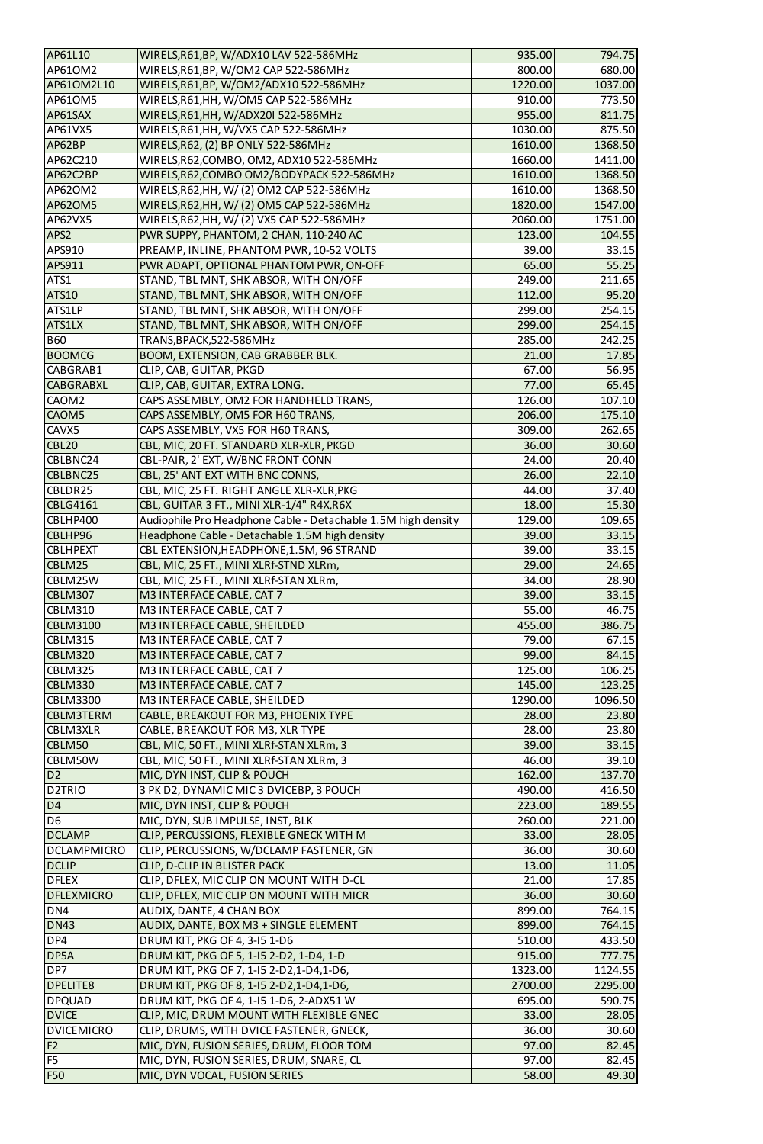| AP61L10             |                                                               |         |         |
|---------------------|---------------------------------------------------------------|---------|---------|
|                     | WIRELS, R61, BP, W/ADX10 LAV 522-586MHz                       | 935.00  | 794.75  |
| AP61OM2             | WIRELS, R61, BP, W/OM2 CAP 522-586MHz                         | 800.00  | 680.00  |
| AP61OM2L10          | WIRELS, R61, BP, W/OM2/ADX10 522-586MHz                       | 1220.00 | 1037.00 |
| AP610M5             | WIRELS, R61, HH, W/OM5 CAP 522-586MHz                         | 910.00  | 773.50  |
| AP61SAX             | WIRELS, R61, HH, W/ADX20I 522-586MHz                          | 955.00  | 811.75  |
| AP61VX5             | WIRELS, R61, HH, W/VX5 CAP 522-586MHz                         | 1030.00 | 875.50  |
|                     |                                                               |         |         |
| AP62BP              | WIRELS, R62, (2) BP ONLY 522-586MHz                           | 1610.00 | 1368.50 |
| AP62C210            | WIRELS, R62, COMBO, OM2, ADX10 522-586MHz                     | 1660.00 | 1411.00 |
| AP62C2BP            | WIRELS, R62, COMBO OM2/BODYPACK 522-586MHz                    | 1610.00 | 1368.50 |
| AP620M2             | WIRELS, R62, HH, W/(2) OM2 CAP 522-586MHz                     | 1610.00 | 1368.50 |
| <b>AP62OM5</b>      | WIRELS, R62, HH, W/(2) OM5 CAP 522-586MHz                     | 1820.00 | 1547.00 |
|                     |                                                               | 2060.00 |         |
| AP62VX5             | WIRELS, R62, HH, W/(2) VX5 CAP 522-586MHz                     |         | 1751.00 |
| APS2                | PWR SUPPY, PHANTOM, 2 CHAN, 110-240 AC                        | 123.00  | 104.55  |
| <b>APS910</b>       | PREAMP, INLINE, PHANTOM PWR, 10-52 VOLTS                      | 39.00   | 33.15   |
| <b>APS911</b>       | PWR ADAPT, OPTIONAL PHANTOM PWR, ON-OFF                       | 65.00   | 55.25   |
| ATS1                | STAND, TBL MNT, SHK ABSOR, WITH ON/OFF                        | 249.00  | 211.65  |
| <b>ATS10</b>        | STAND, TBL MNT, SHK ABSOR, WITH ON/OFF                        | 112.00  | 95.20   |
|                     |                                                               |         |         |
| ATS1LP              | STAND, TBL MNT, SHK ABSOR, WITH ON/OFF                        | 299.00  | 254.15  |
| <b>ATS1LX</b>       | STAND, TBL MNT, SHK ABSOR, WITH ON/OFF                        | 299.00  | 254.15  |
| <b>B60</b>          | TRANS, BPACK, 522-586MHz                                      | 285.00  | 242.25  |
| <b>BOOMCG</b>       | BOOM, EXTENSION, CAB GRABBER BLK.                             | 21.00   | 17.85   |
| CABGRAB1            | CLIP, CAB, GUITAR, PKGD                                       | 67.00   | 56.95   |
| <b>CABGRABXL</b>    |                                                               |         |         |
|                     | CLIP, CAB, GUITAR, EXTRA LONG.                                | 77.00   | 65.45   |
| CAOM <sub>2</sub>   | CAPS ASSEMBLY, OM2 FOR HANDHELD TRANS,                        | 126.00  | 107.10  |
| CAOM5               | CAPS ASSEMBLY, OM5 FOR H60 TRANS,                             | 206.00  | 175.10  |
| CAVX5               | CAPS ASSEMBLY, VX5 FOR H60 TRANS,                             | 309.00  | 262.65  |
| <b>CBL20</b>        | CBL, MIC, 20 FT. STANDARD XLR-XLR, PKGD                       | 36.00   | 30.60   |
| CBLBNC24            | CBL-PAIR, 2' EXT, W/BNC FRONT CONN                            | 24.00   | 20.40   |
|                     |                                                               |         |         |
| <b>CBLBNC25</b>     | CBL, 25' ANT EXT WITH BNC CONNS,                              | 26.00   | 22.10   |
| CBLDR25             | CBL, MIC, 25 FT. RIGHT ANGLE XLR-XLR, PKG                     | 44.00   | 37.40   |
| <b>CBLG4161</b>     | CBL, GUITAR 3 FT., MINI XLR-1/4" R4X, R6X                     | 18.00   | 15.30   |
| CBLHP400            | Audiophile Pro Headphone Cable - Detachable 1.5M high density | 129.00  | 109.65  |
| CBLHP96             | Headphone Cable - Detachable 1.5M high density                | 39.00   | 33.15   |
| <b>CBLHPEXT</b>     | CBL EXTENSION, HEADPHONE, 1.5M, 96 STRAND                     | 39.00   | 33.15   |
|                     |                                                               |         |         |
| CBLM25              | CBL, MIC, 25 FT., MINI XLRf-STND XLRm,                        | 29.00   | 24.65   |
| CBLM25W             | CBL, MIC, 25 FT., MINI XLRf-STAN XLRm,                        | 34.00   | 28.90   |
| <b>CBLM307</b>      | M3 INTERFACE CABLE, CAT 7                                     | 39.00   | 33.15   |
| <b>CBLM310</b>      | M3 INTERFACE CABLE, CAT 7                                     | 55.00   | 46.75   |
| <b>CBLM3100</b>     | M3 INTERFACE CABLE, SHEILDED                                  | 455.00  | 386.75  |
|                     |                                                               |         |         |
| <b>CBLM315</b>      | M3 INTERFACE CABLE, CAT 7                                     | 79.00   | 67.15   |
| <b>CBLM320</b>      | M3 INTERFACE CABLE, CAT 7                                     | 99.00   | 84.15   |
| <b>CBLM325</b>      | M3 INTERFACE CABLE, CAT 7                                     | 125.00  | 106.25  |
| <b>CBLM330</b>      | M3 INTERFACE CABLE, CAT 7                                     | 145.00  | 123.25  |
| <b>CBLM3300</b>     | M3 INTERFACE CABLE, SHEILDED                                  | 1290.00 | 1096.50 |
| <b>CBLM3TERM</b>    | CABLE, BREAKOUT FOR M3, PHOENIX TYPE                          | 28.00   | 23.80   |
|                     |                                                               |         |         |
| <b>CBLM3XLR</b>     | CABLE, BREAKOUT FOR M3, XLR TYPE                              | 28.00   | 23.80   |
| CBLM50              | CBL, MIC, 50 FT., MINI XLRf-STAN XLRm, 3                      | 39.00   | 33.15   |
| CBLM50W             | CBL, MIC, 50 FT., MINI XLRf-STAN XLRm, 3                      | 46.00   | 39.10   |
| D <sub>2</sub>      | MIC, DYN INST, CLIP & POUCH                                   | 162.00  | 137.70  |
| D <sub>2</sub> TRIO | 3 PK D2, DYNAMIC MIC 3 DVICEBP, 3 POUCH                       | 490.00  | 416.50  |
| D4                  | MIC, DYN INST, CLIP & POUCH                                   | 223.00  | 189.55  |
|                     |                                                               |         |         |
| D <sub>6</sub>      | MIC, DYN, SUB IMPULSE, INST, BLK                              | 260.00  | 221.00  |
| <b>DCLAMP</b>       | CLIP, PERCUSSIONS, FLEXIBLE GNECK WITH M                      | 33.00   | 28.05   |
| <b>DCLAMPMICRO</b>  | CLIP, PERCUSSIONS, W/DCLAMP FASTENER, GN                      | 36.00   | 30.60   |
| <b>DCLIP</b>        | <b>CLIP, D-CLIP IN BLISTER PACK</b>                           | 13.00   | 11.05   |
| <b>DFLEX</b>        | CLIP, DFLEX, MIC CLIP ON MOUNT WITH D-CL                      | 21.00   | 17.85   |
| <b>DFLEXMICRO</b>   | CLIP, DFLEX, MIC CLIP ON MOUNT WITH MICR                      | 36.00   | 30.60   |
|                     |                                                               |         |         |
| DN4                 | AUDIX, DANTE, 4 CHAN BOX                                      | 899.00  | 764.15  |
| <b>DN43</b>         | AUDIX, DANTE, BOX M3 + SINGLE ELEMENT                         | 899.00  | 764.15  |
| DP4                 | DRUM KIT, PKG OF 4, 3-15 1-D6                                 | 510.00  | 433.50  |
| DP5A                | DRUM KIT, PKG OF 5, 1-15 2-D2, 1-D4, 1-D                      | 915.00  | 777.75  |
| DP7                 | DRUM KIT, PKG OF 7, 1-15 2-D2,1-D4,1-D6,                      | 1323.00 | 1124.55 |
| <b>DPELITE8</b>     | DRUM KIT, PKG OF 8, 1-15 2-D2,1-D4,1-D6,                      | 2700.00 | 2295.00 |
|                     |                                                               |         |         |
| <b>DPQUAD</b>       | DRUM KIT, PKG OF 4, 1-15 1-D6, 2-ADX51 W                      | 695.00  | 590.75  |
| <b>DVICE</b>        | CLIP, MIC, DRUM MOUNT WITH FLEXIBLE GNEC                      | 33.00   | 28.05   |
| <b>DVICEMICRO</b>   | CLIP, DRUMS, WITH DVICE FASTENER, GNECK,                      | 36.00   | 30.60   |
| F <sub>2</sub>      | MIC, DYN, FUSION SERIES, DRUM, FLOOR TOM                      | 97.00   | 82.45   |
| F <sub>5</sub>      | MIC, DYN, FUSION SERIES, DRUM, SNARE, CL                      | 97.00   | 82.45   |
| <b>F50</b>          |                                                               |         | 49.30   |
|                     | MIC, DYN VOCAL, FUSION SERIES                                 | 58.00   |         |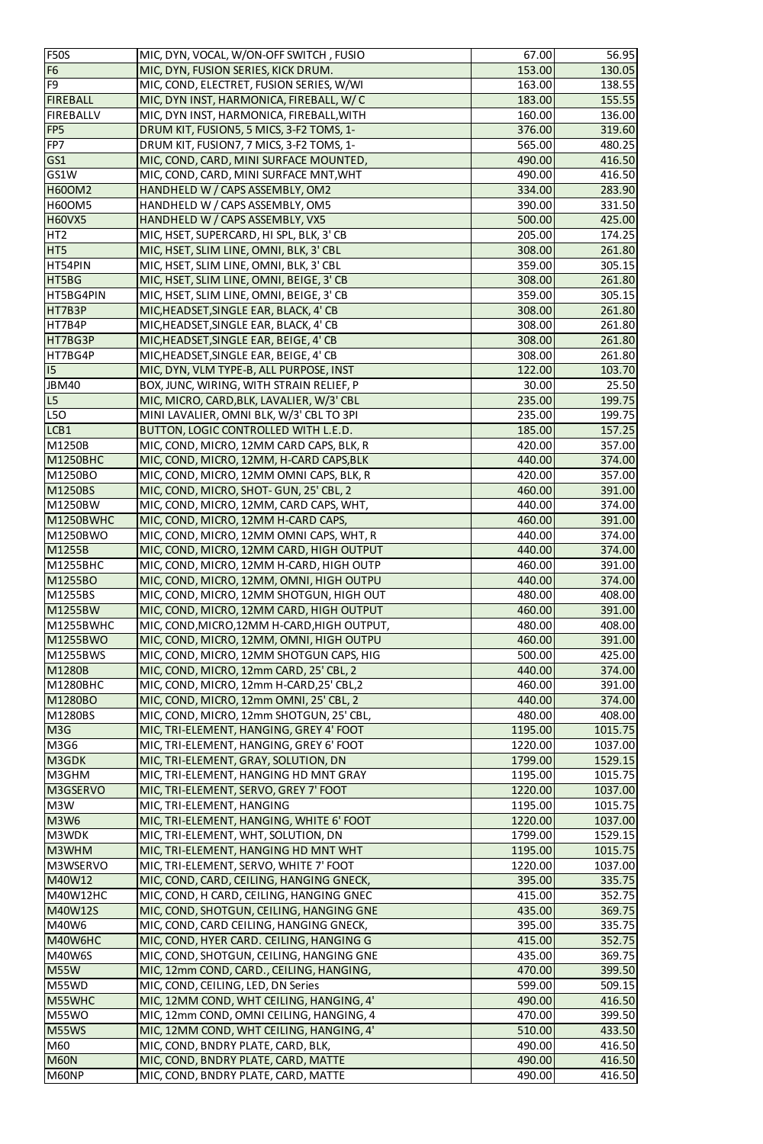| <b>F50S</b>      | MIC, DYN, VOCAL, W/ON-OFF SWITCH, FUSIO     | 67.00   | 56.95   |
|------------------|---------------------------------------------|---------|---------|
| F <sub>6</sub>   | MIC, DYN, FUSION SERIES, KICK DRUM.         | 153.00  | 130.05  |
| F <sub>9</sub>   | MIC, COND, ELECTRET, FUSION SERIES, W/WI    | 163.00  | 138.55  |
| <b>FIREBALL</b>  | MIC, DYN INST, HARMONICA, FIREBALL, W/C     | 183.00  | 155.55  |
| <b>FIREBALLV</b> | MIC, DYN INST, HARMONICA, FIREBALL, WITH    | 160.00  | 136.00  |
| FP <sub>5</sub>  | DRUM KIT, FUSION5, 5 MICS, 3-F2 TOMS, 1-    | 376.00  | 319.60  |
| FP7              | DRUM KIT, FUSION7, 7 MICS, 3-F2 TOMS, 1-    | 565.00  | 480.25  |
| GS1              | MIC, COND, CARD, MINI SURFACE MOUNTED,      | 490.00  | 416.50  |
| GS1W             | MIC, COND, CARD, MINI SURFACE MNT, WHT      | 490.00  | 416.50  |
| <b>H60OM2</b>    | HANDHELD W / CAPS ASSEMBLY, OM2             | 334.00  | 283.90  |
| <b>H60OM5</b>    | HANDHELD W / CAPS ASSEMBLY, OM5             | 390.00  | 331.50  |
| <b>H60VX5</b>    | HANDHELD W / CAPS ASSEMBLY, VX5             | 500.00  | 425.00  |
| HT <sub>2</sub>  | MIC, HSET, SUPERCARD, HI SPL, BLK, 3' CB    | 205.00  | 174.25  |
| HT5              | MIC, HSET, SLIM LINE, OMNI, BLK, 3' CBL     | 308.00  | 261.80  |
| HT54PIN          | MIC, HSET, SLIM LINE, OMNI, BLK, 3' CBL     | 359.00  | 305.15  |
| HT5BG            | MIC, HSET, SLIM LINE, OMNI, BEIGE, 3' CB    | 308.00  | 261.80  |
| HT5BG4PIN        | MIC, HSET, SLIM LINE, OMNI, BEIGE, 3' CB    | 359.00  | 305.15  |
| HT7B3P           | MIC, HEADSET, SINGLE EAR, BLACK, 4' CB      | 308.00  | 261.80  |
| HT7B4P           | MIC, HEADSET, SINGLE EAR, BLACK, 4' CB      | 308.00  | 261.80  |
| HT7BG3P          | MIC, HEADSET, SINGLE EAR, BEIGE, 4' CB      | 308.00  | 261.80  |
| HT7BG4P          | MIC, HEADSET, SINGLE EAR, BEIGE, 4' CB      | 308.00  | 261.80  |
| 15               | MIC, DYN, VLM TYPE-B, ALL PURPOSE, INST     | 122.00  | 103.70  |
| <b>JBM40</b>     | BOX, JUNC, WIRING, WITH STRAIN RELIEF, P    | 30.00   | 25.50   |
| L5               | MIC, MICRO, CARD, BLK, LAVALIER, W/3' CBL   | 235.00  | 199.75  |
| L50              | MINI LAVALIER, OMNI BLK, W/3' CBL TO 3PI    | 235.00  | 199.75  |
| LCB1             | BUTTON, LOGIC CONTROLLED WITH L.E.D.        | 185.00  | 157.25  |
| M1250B           | MIC, COND, MICRO, 12MM CARD CAPS, BLK, R    | 420.00  | 357.00  |
| <b>M1250BHC</b>  | MIC, COND, MICRO, 12MM, H-CARD CAPS, BLK    | 440.00  | 374.00  |
| M1250BO          | MIC, COND, MICRO, 12MM OMNI CAPS, BLK, R    | 420.00  | 357.00  |
| M1250BS          | MIC, COND, MICRO, SHOT-GUN, 25' CBL, 2      | 460.00  | 391.00  |
| M1250BW          | MIC, COND, MICRO, 12MM, CARD CAPS, WHT,     | 440.00  | 374.00  |
| M1250BWHC        | MIC, COND, MICRO, 12MM H-CARD CAPS,         | 460.00  | 391.00  |
| M1250BWO         | MIC, COND, MICRO, 12MM OMNI CAPS, WHT, R    | 440.00  | 374.00  |
| M1255B           | MIC, COND, MICRO, 12MM CARD, HIGH OUTPUT    | 440.00  | 374.00  |
| <b>M1255BHC</b>  | MIC, COND, MICRO, 12MM H-CARD, HIGH OUTP    | 460.00  | 391.00  |
| M1255BO          | MIC, COND, MICRO, 12MM, OMNI, HIGH OUTPU    | 440.00  | 374.00  |
| M1255BS          | MIC, COND, MICRO, 12MM SHOTGUN, HIGH OUT    | 480.00  | 408.00  |
| M1255BW          | MIC, COND, MICRO, 12MM CARD, HIGH OUTPUT    | 460.00  | 391.00  |
| M1255BWHC        | MIC, COND, MICRO, 12MM H-CARD, HIGH OUTPUT, | 480.00  | 408.00  |
| M1255BWO         | MIC, COND, MICRO, 12MM, OMNI, HIGH OUTPU    | 460.00  | 391.00  |
| M1255BWS         | MIC, COND, MICRO, 12MM SHOTGUN CAPS, HIG    | 500.00  | 425.00  |
| M1280B           | MIC, COND, MICRO, 12mm CARD, 25' CBL, 2     | 440.00  | 374.00  |
| M1280BHC         | MIC, COND, MICRO, 12mm H-CARD, 25' CBL, 2   | 460.00  | 391.00  |
| M1280BO          | MIC, COND, MICRO, 12mm OMNI, 25' CBL, 2     | 440.00  | 374.00  |
| M1280BS          | MIC, COND, MICRO, 12mm SHOTGUN, 25' CBL,    | 480.00  | 408.00  |
| M3G              | MIC, TRI-ELEMENT, HANGING, GREY 4' FOOT     | 1195.00 | 1015.75 |
| M3G6             | MIC, TRI-ELEMENT, HANGING, GREY 6' FOOT     | 1220.00 | 1037.00 |
| M3GDK            | MIC, TRI-ELEMENT, GRAY, SOLUTION, DN        | 1799.00 | 1529.15 |
| M3GHM            | MIC, TRI-ELEMENT, HANGING HD MNT GRAY       | 1195.00 | 1015.75 |
| M3GSERVO         | MIC, TRI-ELEMENT, SERVO, GREY 7' FOOT       | 1220.00 | 1037.00 |
| M3W              | MIC, TRI-ELEMENT, HANGING                   | 1195.00 | 1015.75 |
| <b>M3W6</b>      | MIC, TRI-ELEMENT, HANGING, WHITE 6' FOOT    | 1220.00 | 1037.00 |
| M3WDK            | MIC, TRI-ELEMENT, WHT, SOLUTION, DN         | 1799.00 | 1529.15 |
| M3WHM            | MIC, TRI-ELEMENT, HANGING HD MNT WHT        | 1195.00 | 1015.75 |
| M3WSERVO         | MIC, TRI-ELEMENT, SERVO, WHITE 7' FOOT      | 1220.00 | 1037.00 |
| M40W12           | MIC, COND, CARD, CEILING, HANGING GNECK,    | 395.00  | 335.75  |
| M40W12HC         | MIC, COND, H CARD, CEILING, HANGING GNEC    | 415.00  | 352.75  |
| M40W12S          | MIC, COND, SHOTGUN, CEILING, HANGING GNE    | 435.00  | 369.75  |
| M40W6            | MIC, COND, CARD CEILING, HANGING GNECK,     | 395.00  | 335.75  |
| M40W6HC          | MIC, COND, HYER CARD. CEILING, HANGING G    | 415.00  | 352.75  |
| <b>M40W6S</b>    | MIC, COND, SHOTGUN, CEILING, HANGING GNE    | 435.00  | 369.75  |
| <b>M55W</b>      | MIC, 12mm COND, CARD., CEILING, HANGING,    | 470.00  | 399.50  |
| M55WD            | MIC, COND, CEILING, LED, DN Series          | 599.00  | 509.15  |
| M55WHC           | MIC, 12MM COND, WHT CEILING, HANGING, 4'    | 490.00  | 416.50  |
| M55WO            | MIC, 12mm COND, OMNI CEILING, HANGING, 4    | 470.00  | 399.50  |
| M55WS            | MIC, 12MM COND, WHT CEILING, HANGING, 4'    | 510.00  | 433.50  |
| M60              | MIC, COND, BNDRY PLATE, CARD, BLK,          | 490.00  | 416.50  |
| <b>M60N</b>      | MIC, COND, BNDRY PLATE, CARD, MATTE         | 490.00  | 416.50  |
| M60NP            | MIC, COND, BNDRY PLATE, CARD, MATTE         | 490.00  | 416.50  |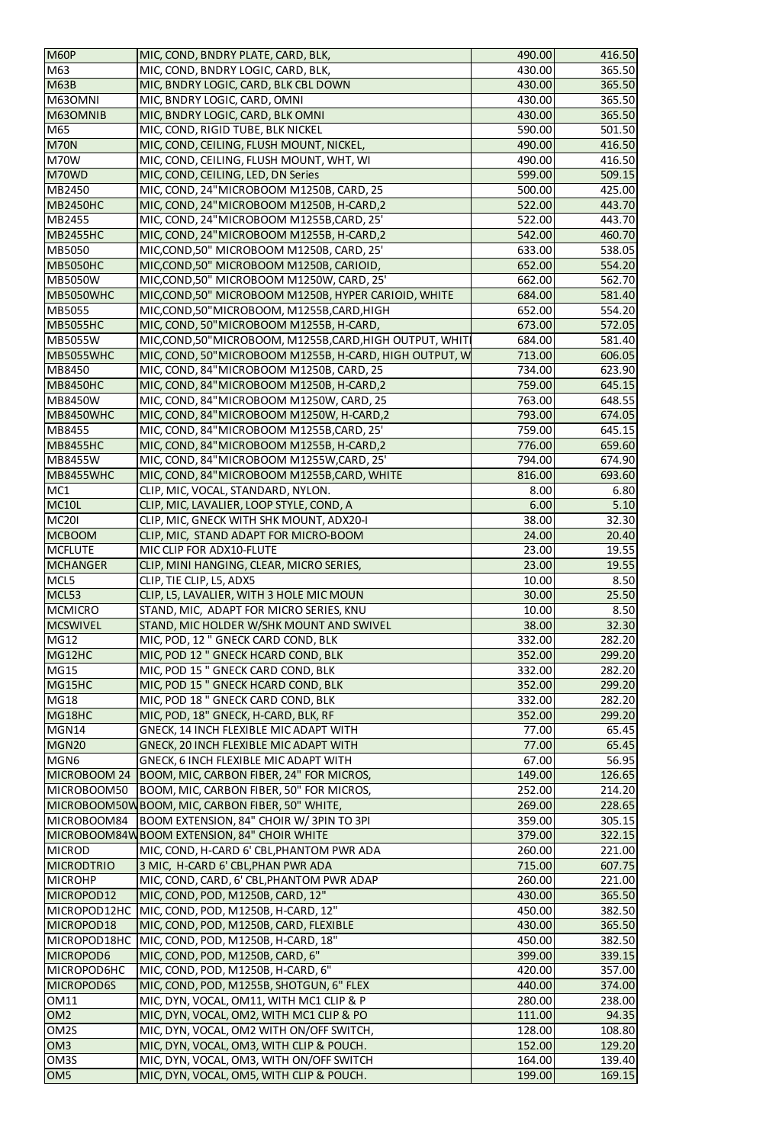| <b>M60P</b>       | MIC, COND, BNDRY PLATE, CARD, BLK,                        | 490.00 | 416.50 |
|-------------------|-----------------------------------------------------------|--------|--------|
| M63               | MIC, COND, BNDRY LOGIC, CARD, BLK,                        | 430.00 | 365.50 |
| <b>M63B</b>       | MIC, BNDRY LOGIC, CARD, BLK CBL DOWN                      | 430.00 | 365.50 |
| M630MNI           | MIC, BNDRY LOGIC, CARD, OMNI                              | 430.00 | 365.50 |
| M630MNIB          | MIC, BNDRY LOGIC, CARD, BLK OMNI                          | 430.00 | 365.50 |
| M65               | MIC, COND, RIGID TUBE, BLK NICKEL                         | 590.00 | 501.50 |
| <b>M70N</b>       | MIC, COND, CEILING, FLUSH MOUNT, NICKEL,                  | 490.00 | 416.50 |
| <b>M70W</b>       | MIC, COND, CEILING, FLUSH MOUNT, WHT, WI                  | 490.00 | 416.50 |
| M70WD             | MIC, COND, CEILING, LED, DN Series                        | 599.00 | 509.15 |
| MB2450            | MIC, COND, 24"MICROBOOM M1250B, CARD, 25                  | 500.00 | 425.00 |
| <b>MB2450HC</b>   | MIC, COND, 24"MICROBOOM M1250B, H-CARD,2                  | 522.00 | 443.70 |
| MB2455            | MIC, COND, 24"MICROBOOM M1255B, CARD, 25'                 | 522.00 | 443.70 |
| <b>MB2455HC</b>   | MIC, COND, 24"MICROBOOM M1255B, H-CARD, 2                 | 542.00 | 460.70 |
| <b>MB5050</b>     |                                                           |        |        |
|                   | MIC, COND, 50" MICROBOOM M1250B, CARD, 25'                | 633.00 | 538.05 |
| <b>MB5050HC</b>   | MIC, COND, 50" MICROBOOM M1250B, CARIOID,                 | 652.00 | 554.20 |
| <b>MB5050W</b>    | MIC, COND, 50" MICROBOOM M1250W, CARD, 25'                | 662.00 | 562.70 |
| MB5050WHC         | MIC, COND, 50" MICROBOOM M1250B, HYPER CARIOID, WHITE     | 684.00 | 581.40 |
| <b>MB5055</b>     | MIC,COND,50"MICROBOOM, M1255B,CARD,HIGH                   | 652.00 | 554.20 |
| <b>MB5055HC</b>   | MIC, COND, 50"MICROBOOM M1255B, H-CARD,                   | 673.00 | 572.05 |
| <b>MB5055W</b>    | MIC, COND, 50" MICROBOOM, M1255B, CARD, HIGH OUTPUT, WHIT | 684.00 | 581.40 |
| <b>MB5055WHC</b>  | MIC, COND, 50" MICROBOOM M1255B, H-CARD, HIGH OUTPUT, W   | 713.00 | 606.05 |
| MB8450            | MIC, COND, 84"MICROBOOM M1250B, CARD, 25                  | 734.00 | 623.90 |
| <b>MB8450HC</b>   | MIC, COND, 84" MICROBOOM M1250B, H-CARD, 2                | 759.00 | 645.15 |
| <b>MB8450W</b>    | MIC, COND, 84" MICROBOOM M1250W, CARD, 25                 | 763.00 | 648.55 |
| <b>MB8450WHC</b>  | MIC, COND, 84"MICROBOOM M1250W, H-CARD, 2                 | 793.00 | 674.05 |
| MB8455            | MIC, COND, 84"MICROBOOM M1255B, CARD, 25'                 | 759.00 | 645.15 |
| <b>MB8455HC</b>   | MIC, COND, 84" MICROBOOM M1255B, H-CARD, 2                | 776.00 | 659.60 |
| MB8455W           | MIC, COND, 84"MICROBOOM M1255W,CARD, 25'                  | 794.00 | 674.90 |
| <b>MB8455WHC</b>  | MIC, COND, 84" MICROBOOM M1255B, CARD, WHITE              | 816.00 | 693.60 |
| MC1               | CLIP, MIC, VOCAL, STANDARD, NYLON.                        | 8.00   | 6.80   |
| <b>MC10L</b>      | CLIP, MIC, LAVALIER, LOOP STYLE, COND, A                  | 6.00   | 5.10   |
| <b>MC201</b>      | CLIP, MIC, GNECK WITH SHK MOUNT, ADX20-I                  | 38.00  | 32.30  |
| <b>MCBOOM</b>     | CLIP, MIC, STAND ADAPT FOR MICRO-BOOM                     | 24.00  | 20.40  |
| <b>MCFLUTE</b>    | MIC CLIP FOR ADX10-FLUTE                                  | 23.00  | 19.55  |
| <b>MCHANGER</b>   | CLIP, MINI HANGING, CLEAR, MICRO SERIES,                  | 23.00  | 19.55  |
| MCL5              | CLIP, TIE CLIP, L5, ADX5                                  | 10.00  | 8.50   |
| MCL53             | CLIP, L5, LAVALIER, WITH 3 HOLE MIC MOUN                  | 30.00  | 25.50  |
| <b>MCMICRO</b>    | STAND, MIC, ADAPT FOR MICRO SERIES, KNU                   | 10.00  | 8.50   |
| <b>MCSWIVEL</b>   | STAND, MIC HOLDER W/SHK MOUNT AND SWIVEL                  | 38.00  | 32.30  |
| <b>MG12</b>       | MIC, POD, 12 " GNECK CARD COND, BLK                       | 332.00 | 282.20 |
| MG12HC            | MIC, POD 12 " GNECK HCARD COND, BLK                       | 352.00 | 299.20 |
| <b>MG15</b>       | MIC, POD 15 " GNECK CARD COND, BLK                        | 332.00 | 282.20 |
| MG15HC            | MIC, POD 15 " GNECK HCARD COND, BLK                       | 352.00 | 299.20 |
| <b>MG18</b>       | MIC, POD 18" GNECK CARD COND, BLK                         | 332.00 | 282.20 |
| MG18HC            | MIC, POD, 18" GNECK, H-CARD, BLK, RF                      | 352.00 | 299.20 |
| MGN14             | GNECK, 14 INCH FLEXIBLE MIC ADAPT WITH                    | 77.00  | 65.45  |
| <b>MGN20</b>      | <b>GNECK, 20 INCH FLEXIBLE MIC ADAPT WITH</b>             | 77.00  | 65.45  |
| MGN <sub>6</sub>  | GNECK, 6 INCH FLEXIBLE MIC ADAPT WITH                     | 67.00  | 56.95  |
|                   | MICROBOOM 24   BOOM, MIC, CARBON FIBER, 24" FOR MICROS,   | 149.00 | 126.65 |
| MICROBOOM50       | BOOM, MIC, CARBON FIBER, 50" FOR MICROS,                  | 252.00 | 214.20 |
|                   | MICROBOOM50WBOOM, MIC, CARBON FIBER, 50" WHITE,           | 269.00 | 228.65 |
| MICROBOOM84       | BOOM EXTENSION, 84" CHOIR W/3PIN TO 3PI                   | 359.00 | 305.15 |
|                   | MICROBOOM84W BOOM EXTENSION, 84" CHOIR WHITE              | 379.00 | 322.15 |
| <b>MICROD</b>     | MIC, COND, H-CARD 6' CBL, PHANTOM PWR ADA                 | 260.00 | 221.00 |
| <b>MICRODTRIO</b> | 3 MIC, H-CARD 6' CBL, PHAN PWR ADA                        | 715.00 | 607.75 |
| <b>MICROHP</b>    | MIC, COND, CARD, 6' CBL, PHANTOM PWR ADAP                 | 260.00 | 221.00 |
| MICROPOD12        | MIC, COND, POD, M1250B, CARD, 12"                         | 430.00 | 365.50 |
| MICROPOD12HC      | MIC, COND, POD, M1250B, H-CARD, 12"                       | 450.00 | 382.50 |
| MICROPOD18        | MIC, COND, POD, M1250B, CARD, FLEXIBLE                    | 430.00 | 365.50 |
| MICROPOD18HC      | MIC, COND, POD, M1250B, H-CARD, 18"                       | 450.00 | 382.50 |
| MICROPOD6         | MIC, COND, POD, M1250B, CARD, 6"                          | 399.00 | 339.15 |
| MICROPOD6HC       | MIC, COND, POD, M1250B, H-CARD, 6"                        | 420.00 | 357.00 |
| MICROPOD6S        | MIC, COND, POD, M1255B, SHOTGUN, 6" FLEX                  | 440.00 | 374.00 |
| <b>OM11</b>       | MIC, DYN, VOCAL, OM11, WITH MC1 CLIP & P                  | 280.00 | 238.00 |
| OM <sub>2</sub>   | MIC, DYN, VOCAL, OM2, WITH MC1 CLIP & PO                  | 111.00 | 94.35  |
| OM <sub>2</sub> S | MIC, DYN, VOCAL, OM2 WITH ON/OFF SWITCH,                  | 128.00 | 108.80 |
| OM <sub>3</sub>   | MIC, DYN, VOCAL, OM3, WITH CLIP & POUCH.                  | 152.00 | 129.20 |
| OM3S              | MIC, DYN, VOCAL, OM3, WITH ON/OFF SWITCH                  | 164.00 | 139.40 |
| OM <sub>5</sub>   | MIC, DYN, VOCAL, OM5, WITH CLIP & POUCH.                  | 199.00 | 169.15 |